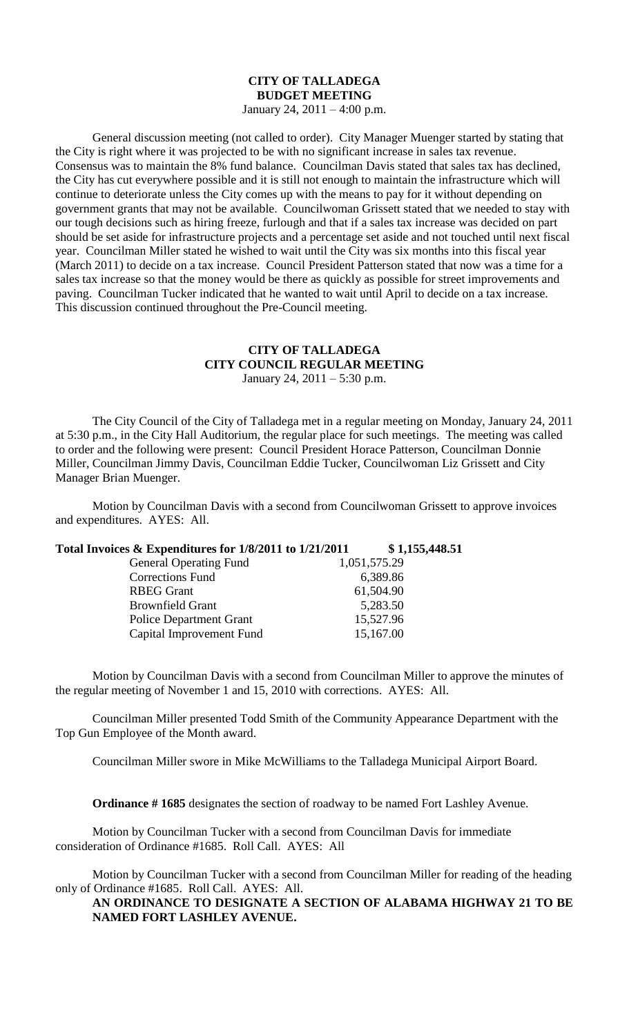## **CITY OF TALLADEGA BUDGET MEETING**

January 24, 2011 – 4:00 p.m.

General discussion meeting (not called to order). City Manager Muenger started by stating that the City is right where it was projected to be with no significant increase in sales tax revenue. Consensus was to maintain the 8% fund balance. Councilman Davis stated that sales tax has declined, the City has cut everywhere possible and it is still not enough to maintain the infrastructure which will continue to deteriorate unless the City comes up with the means to pay for it without depending on government grants that may not be available. Councilwoman Grissett stated that we needed to stay with our tough decisions such as hiring freeze, furlough and that if a sales tax increase was decided on part should be set aside for infrastructure projects and a percentage set aside and not touched until next fiscal year. Councilman Miller stated he wished to wait until the City was six months into this fiscal year (March 2011) to decide on a tax increase. Council President Patterson stated that now was a time for a sales tax increase so that the money would be there as quickly as possible for street improvements and paving. Councilman Tucker indicated that he wanted to wait until April to decide on a tax increase. This discussion continued throughout the Pre-Council meeting.

## **CITY OF TALLADEGA CITY COUNCIL REGULAR MEETING** January 24, 2011 – 5:30 p.m.

The City Council of the City of Talladega met in a regular meeting on Monday, January 24, 2011 at 5:30 p.m., in the City Hall Auditorium, the regular place for such meetings. The meeting was called to order and the following were present: Council President Horace Patterson, Councilman Donnie Miller, Councilman Jimmy Davis, Councilman Eddie Tucker, Councilwoman Liz Grissett and City Manager Brian Muenger.

Motion by Councilman Davis with a second from Councilwoman Grissett to approve invoices and expenditures. AYES: All.

**Total Invoices & Expenditures for 1/8/2011 to 1/21/2011 \$ 1,155,448.51**

| 1,051,575.29 |
|--------------|
| 6,389.86     |
| 61,504.90    |
| 5,283.50     |
| 15,527.96    |
| 15,167.00    |
|              |

Motion by Councilman Davis with a second from Councilman Miller to approve the minutes of the regular meeting of November 1 and 15, 2010 with corrections. AYES: All.

Councilman Miller presented Todd Smith of the Community Appearance Department with the Top Gun Employee of the Month award.

Councilman Miller swore in Mike McWilliams to the Talladega Municipal Airport Board.

**Ordinance # 1685** designates the section of roadway to be named Fort Lashley Avenue.

Motion by Councilman Tucker with a second from Councilman Davis for immediate consideration of Ordinance #1685. Roll Call. AYES: All

Motion by Councilman Tucker with a second from Councilman Miller for reading of the heading only of Ordinance #1685. Roll Call. AYES: All.

**AN ORDINANCE TO DESIGNATE A SECTION OF ALABAMA HIGHWAY 21 TO BE NAMED FORT LASHLEY AVENUE.**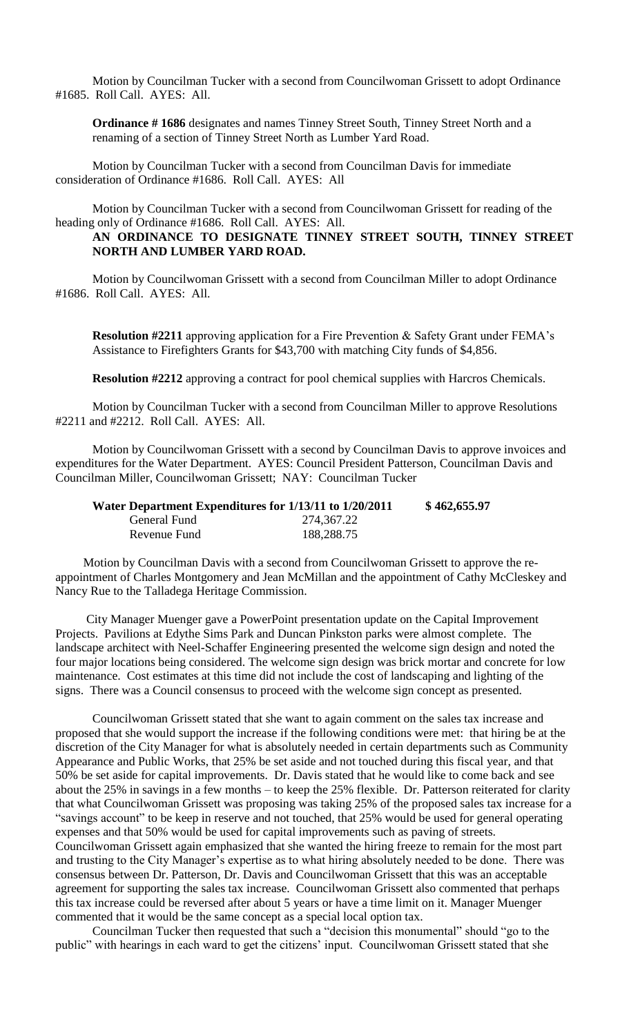Motion by Councilman Tucker with a second from Councilwoman Grissett to adopt Ordinance #1685. Roll Call. AYES: All.

**Ordinance # 1686** designates and names Tinney Street South, Tinney Street North and a renaming of a section of Tinney Street North as Lumber Yard Road.

Motion by Councilman Tucker with a second from Councilman Davis for immediate consideration of Ordinance #1686. Roll Call. AYES: All

Motion by Councilman Tucker with a second from Councilwoman Grissett for reading of the heading only of Ordinance #1686. Roll Call. AYES: All.

## **AN ORDINANCE TO DESIGNATE TINNEY STREET SOUTH, TINNEY STREET NORTH AND LUMBER YARD ROAD.**

Motion by Councilwoman Grissett with a second from Councilman Miller to adopt Ordinance #1686. Roll Call. AYES: All.

**Resolution #2211** approving application for a Fire Prevention & Safety Grant under FEMA's Assistance to Firefighters Grants for \$43,700 with matching City funds of \$4,856.

**Resolution #2212** approving a contract for pool chemical supplies with Harcros Chemicals.

Motion by Councilman Tucker with a second from Councilman Miller to approve Resolutions #2211 and #2212. Roll Call. AYES: All.

Motion by Councilwoman Grissett with a second by Councilman Davis to approve invoices and expenditures for the Water Department. AYES: Council President Patterson, Councilman Davis and Councilman Miller, Councilwoman Grissett; NAY: Councilman Tucker

|              | Water Department Expenditures for 1/13/11 to 1/20/2011 | \$462,655.97 |
|--------------|--------------------------------------------------------|--------------|
| General Fund | 274,367.22                                             |              |
| Revenue Fund | 188,288.75                                             |              |

Motion by Councilman Davis with a second from Councilwoman Grissett to approve the reappointment of Charles Montgomery and Jean McMillan and the appointment of Cathy McCleskey and Nancy Rue to the Talladega Heritage Commission.

City Manager Muenger gave a PowerPoint presentation update on the Capital Improvement Projects. Pavilions at Edythe Sims Park and Duncan Pinkston parks were almost complete. The landscape architect with Neel-Schaffer Engineering presented the welcome sign design and noted the four major locations being considered. The welcome sign design was brick mortar and concrete for low maintenance. Cost estimates at this time did not include the cost of landscaping and lighting of the signs. There was a Council consensus to proceed with the welcome sign concept as presented.

Councilwoman Grissett stated that she want to again comment on the sales tax increase and proposed that she would support the increase if the following conditions were met: that hiring be at the discretion of the City Manager for what is absolutely needed in certain departments such as Community Appearance and Public Works, that 25% be set aside and not touched during this fiscal year, and that 50% be set aside for capital improvements. Dr. Davis stated that he would like to come back and see about the 25% in savings in a few months – to keep the 25% flexible. Dr. Patterson reiterated for clarity that what Councilwoman Grissett was proposing was taking 25% of the proposed sales tax increase for a "savings account" to be keep in reserve and not touched, that 25% would be used for general operating expenses and that 50% would be used for capital improvements such as paving of streets. Councilwoman Grissett again emphasized that she wanted the hiring freeze to remain for the most part and trusting to the City Manager's expertise as to what hiring absolutely needed to be done. There was consensus between Dr. Patterson, Dr. Davis and Councilwoman Grissett that this was an acceptable agreement for supporting the sales tax increase. Councilwoman Grissett also commented that perhaps this tax increase could be reversed after about 5 years or have a time limit on it. Manager Muenger commented that it would be the same concept as a special local option tax.

Councilman Tucker then requested that such a "decision this monumental" should "go to the public" with hearings in each ward to get the citizens' input. Councilwoman Grissett stated that she